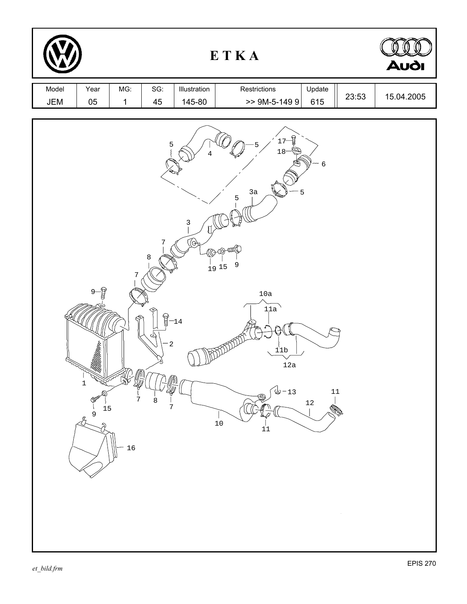| ETKA         |                                                                                   |                     |                                                           |                            |                                                                                                                                                             |                                          |       | Audi       |
|--------------|-----------------------------------------------------------------------------------|---------------------|-----------------------------------------------------------|----------------------------|-------------------------------------------------------------------------------------------------------------------------------------------------------------|------------------------------------------|-------|------------|
| Model<br>JEM | Year<br>05                                                                        | MG:<br>$\mathbf{1}$ | SG:<br>45                                                 | Illustration<br>145-80     | Restrictions<br>$>$ 9M-5-149 9                                                                                                                              | Update<br>615                            | 23:53 | 15.04.2005 |
|              | $\frac{1}{2}$<br>$9-$<br>$\mathbf 1$<br>$\mathbb{P}$<br>15<br>9<br>$\mathfrak{L}$ | 7<br>7<br>16        | 5<br>7<br>$\,8\,$<br>$\mathbb{R}$<br>$-2$<br>$\,8\,$<br>7 | $\frac{3}{1}$<br><br>$-14$ | ਊ<br>17<br>$18 -$<br>3a<br>$\frac{5}{1}$<br><b>BOO THE</b><br>$\mathsf 9$<br>$\frac{1}{1}$ 9 15<br>$10a$<br>11a<br>11b<br>12a<br>$-13$<br>冷<br>$10\,$<br>11 | $\epsilon$<br>5<br>$11\,$<br>$1\sqrt{2}$ | ÷,    |            |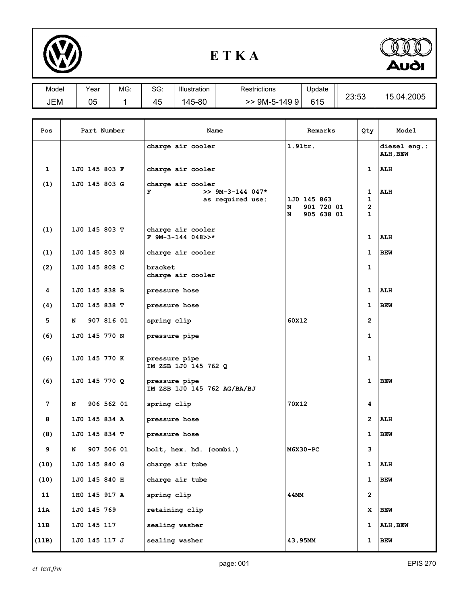

## **E T K A**



| Model | ∨ear | MG: | $\sim$<br>ას. | Illustration | Restrictions | Update | nn.rn      |                 |
|-------|------|-----|---------------|--------------|--------------|--------|------------|-----------------|
| JEM   | 05   |     | -<br>45       | 145-80       | 9M-5-1499    | 615    | -<br>∠ບ.ບປ | .04.2005<br>1 ๆ |

| Pos             |               | Part Number     | Name                                                             | Remarks                                           | Qty                                                | Model                    |
|-----------------|---------------|-----------------|------------------------------------------------------------------|---------------------------------------------------|----------------------------------------------------|--------------------------|
|                 |               |                 | charge air cooler                                                | $1.91$ tr.                                        |                                                    | diesel eng.:<br>ALH, BEW |
| 1               |               | 1J0 145 803 F   | charge air cooler                                                |                                                   | 1                                                  | ALH                      |
| (1)             |               | 1J0 145 803 G   | charge air cooler<br>F<br>$>> 9M-3-144 047*$<br>as required use: | 1J0 145 863<br>N<br>901 720 01<br>905 638 01<br>N | 1<br>$\mathbf 1$<br>$\overline{2}$<br>$\mathbf{1}$ | <b>ALH</b>               |
| (1)             |               | $1J0$ 145 803 T | charge air cooler<br>$F$ 9M-3-144 048>>*                         |                                                   | $\mathbf{1}$                                       | ALH                      |
| (1)             |               | 1J0 145 803 N   | charge air cooler                                                |                                                   | 1                                                  | <b>BEW</b>               |
| (2)             |               | 1J0 145 808 C   | bracket<br>charge air cooler                                     |                                                   | $\mathbf 1$                                        |                          |
| 4               |               | 1J0 145 838 B   | pressure hose                                                    |                                                   | $\mathbf{1}$                                       | ALH                      |
| (4)             | 1J0 145 838 T |                 | pressure hose                                                    |                                                   | $\mathbf{1}$                                       | <b>BEW</b>               |
| 5               | N             | 907 816 01      | spring clip                                                      | 60X12                                             | $\overline{2}$                                     |                          |
| (6)             |               | 1J0 145 770 N   | pressure pipe                                                    |                                                   | $\mathbf{1}$                                       |                          |
| (6)             |               | 1J0 145 770 K   | pressure pipe<br>IM ZSB 1J0 145 762 Q                            |                                                   | $\mathbf{1}$                                       |                          |
| (6)             |               | 1J0 145 770 Q   | pressure pipe<br>IM ZSB 1J0 145 762 AG/BA/BJ                     |                                                   | $\mathbf{1}$                                       | <b>BEW</b>               |
| $7\phantom{.0}$ | N             | 906 562 01      | spring clip                                                      | 70X12                                             | 4                                                  |                          |
| 8               |               | 1J0 145 834 A   | pressure hose                                                    |                                                   | $\overline{2}$                                     | ALH                      |
| (8)             |               | 1J0 145 834 T   | pressure hose                                                    |                                                   | $\mathbf{1}$                                       | <b>BEW</b>               |
| 9               | N             | 907 506 01      | bolt, hex. hd. (combi.)                                          | M6X30-PC                                          | з                                                  |                          |
| (10)            |               | 1J0 145 840 G   | charge air tube                                                  |                                                   | $\mathbf{1}$                                       | ALH                      |
| (10)            |               | 1J0 145 840 H   | charge air tube                                                  |                                                   | $\mathbf{1}$                                       | <b>BEW</b>               |
| 11              |               | 1H0 145 917 A   | spring clip                                                      | 44MM                                              | $\overline{2}$                                     |                          |
| 11A             | 1J0 145 769   |                 | retaining clip                                                   |                                                   | x                                                  | BEW                      |
| 11B             | 1J0 145 117   |                 | sealing washer                                                   |                                                   | 1                                                  | ALH, BEW                 |
| (11B)           |               | 1J0 145 117 J   | sealing washer                                                   | 43,95MM                                           | 1                                                  | <b>BEW</b>               |